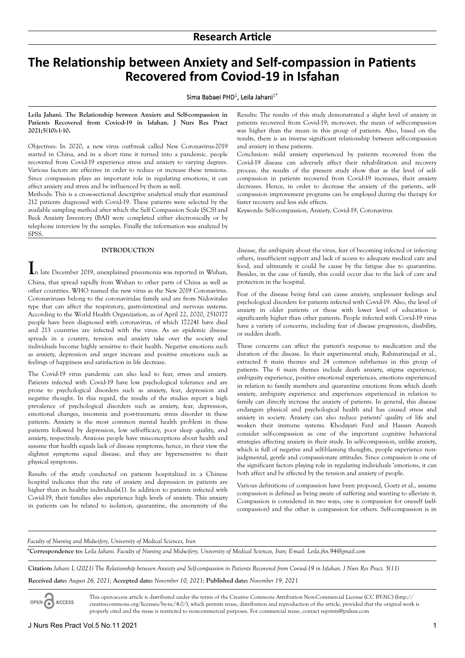# **The Relationship between Anxiety and Self-compassion in Patients Recovered from Coviod-19 in Isfahan**

## Sima Babaei PHD<sup>1</sup>, Leila Jahani<sup>1\*</sup>

**Leila Jahani. The Relationship between Anxiety and Self-compassion in Patients Recovered from Coviod-19 in Isfahan. J Nurs Res Pract 2021;5(10):1-10.**

Objectives: In 2020, a new virus outbreak called New Coronavirus-2019 started in China, and in a short time it turned into a pandemic. people recovered from Covid-19 experience stress and anxiety to varying degrees. Various factors are effective in order to reduce or increase these tensions. Since compassion plays an important role in regulating emotions, it can affect anxiety and stress and be influenced by them as well.

Methods: This is a cross-sectional descriptive analytical study that examined 212 patients diagnosed with Covid-19. These patients were selected by the available sampling method after which the Self Compassion Scale (SCS) and Beck Anxiety Inventory (BAI) were completed either electronically or by telephone interview by the samples. Finally the information was analyzed by SPSS.

### **INTRODUCTION**

**I**n late December 2019, unexplained pneumonia was reported in Wuhan, China, that spread rapidly from Wuhan to other parts of China as well as other countries. WHO named the new virus as the New 2019 Coronavirus. Coronaviruses belong to the coronaviridae family and are from Nidovirales type that can affect the respiratory, gastrointestinal and nervous systems. According to the World Health Organization, as of April 22, 2020, 2510177 people have been diagnosed with coronavirus, of which 172241 have died and 213 countries are infected with the virus. As an epidemic disease spreads in a country, tension and anxiety take over the society and individuals become highly sensitive to their health. Negative emotions such as anxiety, depression and anger increase and positive emotions such as feelings of happiness and satisfaction in life decrease.

The Covid-19 virus pandemic can also lead to fear, stress and anxiety. Patients infected with Covid-19 have low psychological tolerance and are prone to psychological disorders such as anxiety, fear, depression and negative thought. In this regard, the results of the studies report a high prevalence of psychological disorders such as anxiety, fear, depression, emotional changes, insomnia and post-traumatic stress disorder in these patients. Anxiety is the most common mental health problem in these patients followed by depression, low self-efficacy, poor sleep quality, and anxiety, respectively. Anxious people have misconceptions about health and assume that health equals lack of disease symptoms; hence, in their view the slightest symptoms equal disease, and they are hypersensitive to their physical symptoms.

Results of the study conducted on patients hospitalized in a Chinese hospital indicates that the rate of anxiety and depression in patients are higher than in healthy individuals(1). In addition to patients infected with Covid-19, their families also experience high levels of anxiety. This anxiety in patients can be related to isolation, quarantine, the anonymity of the

Results: The results of this study demonstrated a slight level of anxiety in patients recovered from Covid-19; moreover, the mean of self-compassion was higher than the mean in this group of patients. Also, based on the results, there is an inverse significant relationship between self-compassion and anxiety in these patients.

Conclusion: mild anxiety experienced by patients recovered from the Covid-19 disease can adversely affect their rehabilitation and recovery process. the results of the present study show that as the level of selfcompassion in patients recovered from Covid-19 increases, their anxiety decreases. Hence, in order to decrease the anxiety of the patients, selfcompassion improvement programs can be employed during the therapy for faster recovery and less side effects.

Keywords: Self-compassion, Anxiety, Covid-19, Coronavirus

disease, the ambiguity about the virus, fear of becoming infected or infecting others, insufficient support and lack of access to adequate medical care and food, and ultimately it could be cause by the fatigue due to quarantine. Besides, in the case of family, this could occur due to the lack of care and protection in the hospital.

Fear of the disease being fatal can cause anxiety, unpleasant feelings and psychological disorders for patients infected with Covid-19. Also, the level of anxiety in older patients or those with lower level of education is significantly higher than other patients. People infected with Covid-19 virus have a variety of concerns, including fear of disease progression, disability, or sudden death.

These concerns can affect the patient's response to medication and the duration of the disease. In their experimental study, Rahmatinejad et al., extracted 6 main themes and 24 common subthemes in this group of patients. The 6 main themes include death anxiety, stigma experience, ambiguity experience, positive emotional experiences, emotions experienced in relation to family members and quarantine emotions from which death anxiety, ambiguity experience and experiences experienced in relation to family can directly increase the anxiety of patients. In general, this disease endangers physical and psychological health and has caused stress and anxiety in society. Anxiety can also reduce patients' quality of life and weaken their immune systems. Khodayari Fard and Hassan Asayesh consider self-compassion as one of the important cognitive behavioral strategies affecting anxiety in their study. In self-compassion, unlike anxiety, which is full of negative and self-blaming thoughts, people experience nonjudgmental, gentle and compassionate attitudes. Since compassion is one of the significant factors playing role in regulating individuals 'emotions, it can both affect and be affected by the tension and anxiety of people.

Various definitions of compassion have been proposed, Goetz et al., assume compassion is defined as being aware of suffering and wanting to alleviate it. Compassion is considered in two ways, one is compassion for oneself (selfcompassion) and the other is compassion for others. Self-compassion is in

## *Faculty of Nursing and Midwifery, University of Medical Sciences, Iran*

**\*Correspondence to:** *Leila Jahani. Faculty of Nursing and Midwifery, University of Medical Sciences, Iran; E-mail: <Leila.jhn.94@gmail.com>*

**Citation:** *Jahani L (2021) The Relationship between Anxiety and Self-compassion in Patients Recovered from Coviod-19 in Isfahan. J Nurs Res Pract. 5(11)* 

**Received date:** *August 26, 2021;* **Accepted date:** *November 10, 2021;* **Published date:** *November 19, 2021*

This open-access article is distributed under the terms of the Creative Commons Attribution Non-Commercial License (CC BY-NC) (http:// ACCESS creativecommons.org/licenses/by-nc/4.0/), which permits reuse, distribution and reproduction of the article, provided that the original work is properly cited and the reuse is restricted to noncommercial purposes. For commercial reuse, contact reprints@pulsus.com

OPEN O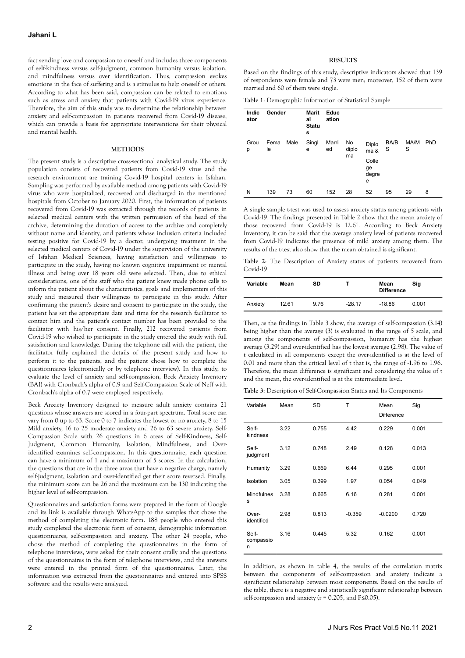fact sending love and compassion to oneself and includes three components of self-kindness versus self-judgment, common humanity versus isolation, and mindfulness versus over identification. Thus, compassion evokes emotions in the face of suffering and is a stimulus to help oneself or others. According to what has been said, compassion can be related to emotions such as stress and anxiety that patients with Covid-19 virus experience. Therefore, the aim of this study was to determine the relationship between anxiety and self-compassion in patients recovered from Covid-19 disease, which can provide a basis for appropriate interventions for their physical and mental health.

#### **METHODS**

The present study is a descriptive cross-sectional analytical study. The study population consists of recovered patients from Covid-19 virus and the research environment are training Covid-19 hospital centers in Isfahan. Sampling was performed by available method among patients with Covid-19 virus who were hospitalized, recovered and discharged in the mentioned hospitals from October to January 2020. First, the information of patients recovered from Covid-19 was extracted through the records of patients in selected medical centers with the written permission of the head of the archive, determining the duration of access to the archive and completely without name and identity, and patients whose inclusion criteria included testing positive for Covid-19 by a doctor, undergoing treatment in the selected medical centers of Covid-19 under the supervision of the university of Isfahan Medical Sciences, having satisfaction and willingness to participate in the study, having no known cognitive impairment or mental illness and being over 18 years old were selected. Then, due to ethical considerations, one of the staff who the patient knew made phone calls to inform the patient about the characteristics, goals and implementers of this study and measured their willingness to participate in this study. After confirming the patient's desire and consent to participate in the study, the patient has set the appropriate date and time for the research facilitator to contact him and the patient's contact number has been provided to the facilitator with his/her consent. Finally, 212 recovered patients from Covid-19 who wished to participate in the study entered the study with full satisfaction and knowledge. During the telephone call with the patient, the facilitator fully explained the details of the present study and how to perform it to the patients, and the patient chose how to complete the questionnaires (electronically or by telephone interview). In this study, to evaluate the level of anxiety and self-compassion, Beck Anxiety Inventory (BAI) with Cronbach's alpha of 0.9 and Self-Compassion Scale of Neff with Cronbach's alpha of 0.7 were employed respectively.

Beck Anxiety Inventory designed to measure adult anxiety contains 21 questions whose answers are scored in a four-part spectrum. Total score can vary from 0 up to 63. Score 0 to 7 indicates the lowest or no anxiety, 8 to 15 Mild anxiety, 16 to 25 moderate anxiety and 26 to 63 severe anxiety. Self-Compassion Scale with 26 questions in 6 areas of Self-Kindness, Self-Judgment, Common Humanity, Isolation, Mindfulness, and Overidentified examines self-compassion. In this questionnaire, each question can have a minimum of 1 and a maximum of 5 scores. In the calculation, the questions that are in the three areas that have a negative charge, namely self-judgment, isolation and over-identified get their score reversed. Finally, the minimum score can be 26 and the maximum can be 130 indicating the higher level of self-compassion.

Questionnaires and satisfaction forms were prepared in the form of Google and its link is available through WhatsApp to the samples that chose the method of completing the electronic form. 188 people who entered this study completed the electronic form of consent, demographic information questionnaires, self-compassion and anxiety. The other 24 people, who chose the method of completing the questionnaires in the form of telephone interviews, were asked for their consent orally and the questions of the questionnaires in the form of telephone interviews, and the answers were entered in the printed form of the questionnaires. Later, the information was extracted from the questionnaires and entered into SPSS software and the results were analyzed.

#### **RESULTS**

Based on the findings of this study, descriptive indicators showed that 139 of respondents were female and 73 were men; moreover, 152 of them were married and 60 of them were single.

**Table 1**: Demographic Information of Statistical Sample

| <b>Indic</b><br>ator | Gender     |      | Marit<br>al<br><b>Statu</b><br>s | Educ<br>ation |             |                           |           |           |     |
|----------------------|------------|------|----------------------------------|---------------|-------------|---------------------------|-----------|-----------|-----|
| Grou<br>р            | Fema<br>le | Male | Singl<br>e                       | Marri<br>ed   | No<br>diplo | Diplo<br>ma &             | BA/B<br>S | MA/M<br>S | PhD |
|                      |            |      |                                  |               | ma          | Colle<br>ge<br>degre<br>е |           |           |     |
| N                    | 139        | 73   | 60                               | 152           | 28          | 52                        | 95        | 29        | 8   |

A single sample t-test was used to assess anxiety status among patients with Covid-19. The findings presented in Table 2 show that the mean anxiety of those recovered from Covid-19 is 12.61. According to Beck Anxiety Inventory, it can be said that the average anxiety level of patients recovered from Covid-19 indicates the presence of mild anxiety among them. The results of the t-test also show that the mean obtained is significant.

**Table 2**: The Description of Anxiety status of patients recovered from Covid-19

| Variable | Mean  | SD   |          | Mean<br><b>Difference</b> | Sig   |
|----------|-------|------|----------|---------------------------|-------|
| Anxiety  | 12.61 | 9.76 | $-28.17$ | $-18.86$                  | 0.001 |

Then, as the findings in Table 3 show, the average of self-compassion (3.14) being higher than the average (3) is evaluated in the range of 5 scale, and among the components of self-compassion, humanity has the highest average (3.29) and over-identified has the lowest average (2.98). The value of t calculated in all components except the over-identified is at the level of 0.01 and more than the critical level of t that is, the range of -1.96 to 1.96. Therefore, the mean difference is significant and considering the value of t and the mean, the over-identified is at the intermediate level.

**Table 3**: Description of Self-Compassion Status and Its Components

| Variable                | Mean | <b>SD</b> | Т        | Mean<br><b>Difference</b> | Sig   |
|-------------------------|------|-----------|----------|---------------------------|-------|
| Self-<br>kindness       | 3.22 | 0.755     | 4.42     | 0.229                     | 0.001 |
| Self-<br>judgment       | 3.12 | 0.748     | 2.49     | 0.128                     | 0.013 |
| Humanity                | 3.29 | 0.669     | 6.44     | 0.295                     | 0.001 |
| Isolation               | 3.05 | 0.399     | 1.97     | 0.054                     | 0.049 |
| <b>Mindfulnes</b><br>s  | 3.28 | 0.665     | 6.16     | 0.281                     | 0.001 |
| Over-<br>identified     | 2.98 | 0.813     | $-0.359$ | $-0.0200$                 | 0.720 |
| Self-<br>compassio<br>n | 3.16 | 0.445     | 5.32     | 0.162                     | 0.001 |

In addition, as shown in table 4, the results of the correlation matrix between the components of self-compassion and anxiety indicate a significant relationship between most components. Based on the results of the table, there is a negative and statistically significant relationship between self-compassion and anxiety ( $r = 0.205$ , and P $\leq 0.05$ ).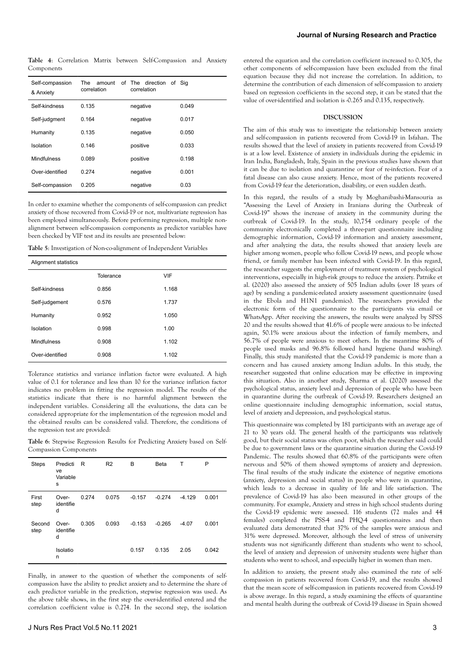**Table 4**: Correlation Matrix between Self-Compassion and Anxiety Components

| Self-compassion<br>& Anxiety | The<br>amount<br>correlation | of The direction<br>correlation | of Sia |
|------------------------------|------------------------------|---------------------------------|--------|
| Self-kindness                | 0.135                        | negative                        | 0.049  |
| Self-judgment                | 0.164                        |                                 | 0.017  |
| Humanity                     | 0.135                        | negative                        | 0.050  |
| Isolation                    | 0.146                        | positive                        | 0.033  |
| Mindfulness                  | 0.089                        | positive                        | 0.198  |
| Over-identified              | 0.274                        | negative                        | 0.001  |
| Self-compassion              | 0.205                        | negative                        | 0.03   |

In order to examine whether the components of self-compassion can predict anxiety of those recovered from Covid-19 or not, multivariate regression has been employed simultaneously. Before performing regression, multiple nonalignment between self-compassion components as predictor variables have been checked by VIF test and its results are presented below:

**Table 5**: Investigation of Non-co-alignment of Independent Variables

| Alignment statistics |           |       |  |  |  |
|----------------------|-----------|-------|--|--|--|
|                      | Tolerance | VIF   |  |  |  |
| Self-kindness        | 0.856     | 1.168 |  |  |  |
| Self-judgement       | 0.576     | 1.737 |  |  |  |
| Humanity             | 0.952     | 1.050 |  |  |  |
| Isolation            | 0.998     | 1.00  |  |  |  |
| Mindfulness          | 0.908     | 1.102 |  |  |  |
| Over-identified      | 0.908     | 1.102 |  |  |  |

Tolerance statistics and variance inflation factor were evaluated. A high value of 0.1 for tolerance and less than 10 for the variance inflation factor indicates no problem in fitting the regression model. The results of the statistics indicate that there is no harmful alignment between the independent variables. Considering all the evaluations, the data can be considered appropriate for the implementation of the regression model and the obtained results can be considered valid. Therefore, the conditions of the regression test are provided:

**Table 6**: Stepwise Regression Results for Predicting Anxiety based on Self-Compassion Components

| <b>Steps</b>   | Predicti<br>ve<br>Variable<br>s | R     | R <sub>2</sub> | в        | <b>Beta</b> | т        | P     |
|----------------|---------------------------------|-------|----------------|----------|-------------|----------|-------|
| First<br>step  | Over-<br>identifie<br>d         | 0.274 | 0.075          | $-0.157$ | $-0.274$    | $-4.129$ | 0.001 |
| Second<br>step | Over-<br>identifie<br>d         | 0.305 | 0.093          | $-0.153$ | $-0.265$    | $-4.07$  | 0.001 |
|                | Isolatio<br>n                   |       |                | 0.157    | 0.135       | 2.05     | 0.042 |

Finally, in answer to the question of whether the components of selfcompassion have the ability to predict anxiety and to determine the share of each predictor variable in the prediction, stepwise regression was used. As the above table shows, in the first step the over-identified entered and the correlation coefficient value is 0.274. In the second step, the isolation entered the equation and the correlation coefficient increased to 0.305, the other components of self-compassion have been excluded from the final equation because they did not increase the correlation. In addition, to determine the contribution of each dimension of self-compassion to anxiety based on regression coefficients in the second step, it can be stated that the value of over-identified and isolation is -0.265 and 0.135, respectively.

### **DISCUSSION**

The aim of this study was to investigate the relationship between anxiety and self-compassion in patients recovered from Covid-19 in Isfahan. The results showed that the level of anxiety in patients recovered from Covid-19 is at a low level. Existence of anxiety in individuals during the epidemic in Iran India, Bangladesh, Italy, Spain in the previous studies have shown that it can be due to isolation and quarantine or fear of re-infection. Fear of a fatal disease can also cause anxiety. Hence, most of the patients recovered from Covid-19 fear the deterioration, disability, or even sudden death.

In this regard, the results of a study by Moghanibashi-Mansouria as "Assessing the Level of Anxiety in Iranians during the Outbreak of Covid-19" shows the increase of anxiety in the community during the outbreak of Covid-19. In the study, 10,754 ordinary people of the community electronically completed a three-part questionnaire including demographic information, Covid-19 information and anxiety assessment, and after analyzing the data, the results showed that anxiety levels are higher among women, people who follow Covid-19 news, and people whose friend, or family member has been infected with Covid-19. In this regard, the researcher suggests the employment of treatment system of psychological interventions, especially in high-risk groups to reduce the anxiety. Patnike et al. (2020) also assessed the anxiety of 505 Indian adults (over 18 years of age) by sending a pandemic-related anxiety assessment questionnaire (used in the Ebola and H1N1 pandemics). The researchers provided the electronic form of the questionnaire to the participants via email or WhatsApp. After receiving the answers, the results were analyzed by SPSS 20 and the results showed that 41.6% of people were anxious to be infected again, 50.1% were anxious about the infection of family members, and 56.7% of people were anxious to meet others. In the meantime 80% of people used masks and 96.8% followed hand hygiene (hand washing). Finally, this study manifested that the Covid-19 pandemic is more than a concern and has caused anxiety among Indian adults. In this study, the researcher suggested that online education may be effective in improving this situation. Also in another study, Sharma et al. (2020) assessed the psychological status, anxiety level and depression of people who have been in quarantine during the outbreak of Covid-19. Researchers designed an online questionnaire including demographic information, social status, level of anxiety and depression, and psychological status.

This questionnaire was completed by 181 participants with an average age of 21 to 30 years old. The general health of the participants was relatively good, but their social status was often poor, which the researcher said could be due to government laws or the quarantine situation during the Covid-19 Pandemic. The results showed that 60.8% of the participants were often nervous and 50% of them showed symptoms of anxiety and depression. The final results of the study indicate the existence of negative emotions (anxiety, depression and social status) in people who were in quarantine, which leads to a decrease in quality of life and life satisfaction. The prevalence of Covid-19 has also been measured in other groups of the community. For example, Anxiety and stress in high school students during the Covid-19 epidemic were assessed. 116 students (72 males and 44 females) completed the PSS-4 and PHQ-4 questionnaires and then evaluated data demonstrated that 37% of the samples were anxious and 31% were depressed. Moreover, although the level of stress of university students was not significantly different than students who went to school, the level of anxiety and depression of university students were higher than students who went to school, and especially higher in women than men.

In addition to anxiety, the present study also examined the rate of selfcompassion in patients recovered from Covid-19, and the results showed that the mean score of self-compassion in patients recovered from Covid-19 is above average. In this regard, a study examining the effects of quarantine and mental health during the outbreak of Covid-19 disease in Spain showed